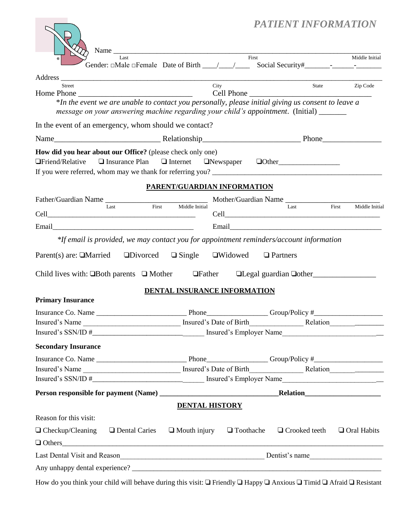|                                                                                                                                                                                              |                       | Name $\frac{1}{1000}$ First                               |      | PATIENT INFORMATION                                      |                |
|----------------------------------------------------------------------------------------------------------------------------------------------------------------------------------------------|-----------------------|-----------------------------------------------------------|------|----------------------------------------------------------|----------------|
|                                                                                                                                                                                              |                       |                                                           |      |                                                          | Middle Initial |
| Address _                                                                                                                                                                                    |                       |                                                           |      |                                                          |                |
| Street                                                                                                                                                                                       |                       |                                                           | City | State                                                    | Zip Code       |
| *In the event we are unable to contact you personally, please initial giving us consent to leave a<br>message on your answering machine regarding your child's appointment. (Initial) ______ |                       |                                                           |      |                                                          |                |
| In the event of an emergency, whom should we contact?                                                                                                                                        |                       |                                                           |      |                                                          |                |
|                                                                                                                                                                                              |                       |                                                           |      |                                                          |                |
| How did you hear about our Office? (please check only one)<br>□Friend/Relative                                                                                                               | $\Box$ Insurance Plan | $\Box$ Internet                                           |      | $\Box$ Newspaper $\Box$ Other                            |                |
|                                                                                                                                                                                              |                       | PARENT/GUARDIAN INFORMATION                               |      |                                                          |                |
| Father/Guardian Name Last First Middle Initial Mother/Guardian Name Last First First                                                                                                         |                       |                                                           |      |                                                          |                |
|                                                                                                                                                                                              |                       |                                                           |      |                                                          | Middle Initial |
|                                                                                                                                                                                              |                       |                                                           |      |                                                          |                |
| *If email is provided, we may contact you for appointment reminders/account information                                                                                                      |                       |                                                           |      |                                                          |                |
| Parent(s) are: $\square$ Married $\square$ Divorced $\square$ Single $\square$ Widowed $\square$ Partners                                                                                    |                       |                                                           |      |                                                          |                |
| Child lives with: $\Box$ Both parents $\Box$ Mother $\Box$ Eather $\Box$ Legal guardian $\Box$ other                                                                                         |                       |                                                           |      |                                                          |                |
|                                                                                                                                                                                              |                       | DENTAL INSURANCE INFORMATION                              |      |                                                          |                |
| <b>Primary Insurance</b>                                                                                                                                                                     |                       |                                                           |      |                                                          |                |
| Insurance Co. Name                                                                                                                                                                           |                       | Phone                                                     |      | $\frac{1}{\sqrt{2}}$ Group/Policy # $\frac{1}{\sqrt{2}}$ |                |
|                                                                                                                                                                                              |                       |                                                           |      |                                                          |                |
|                                                                                                                                                                                              |                       |                                                           |      |                                                          |                |
| <b>Secondary Insurance</b>                                                                                                                                                                   |                       |                                                           |      |                                                          |                |
|                                                                                                                                                                                              |                       |                                                           |      |                                                          |                |
|                                                                                                                                                                                              |                       |                                                           |      |                                                          |                |
|                                                                                                                                                                                              |                       |                                                           |      |                                                          |                |
|                                                                                                                                                                                              |                       | <b>DENTAL HISTORY</b>                                     |      |                                                          |                |
| Reason for this visit:                                                                                                                                                                       |                       |                                                           |      |                                                          |                |
|                                                                                                                                                                                              |                       |                                                           |      |                                                          |                |
| $\Box$ Checkup/Cleaning                                                                                                                                                                      |                       | $\Box$ Dental Caries $\Box$ Mouth injury $\Box$ Toothache |      | $\Box$ Crooked teeth $\Box$ Oral Habits                  |                |
|                                                                                                                                                                                              |                       |                                                           |      |                                                          |                |
|                                                                                                                                                                                              |                       |                                                           |      |                                                          |                |
|                                                                                                                                                                                              |                       |                                                           |      |                                                          |                |

How do you think your child will behave during this visit: ❑ Friendly ❑ Happy ❑ Anxious ❑ Timid ❑ Afraid ❑ Resistant